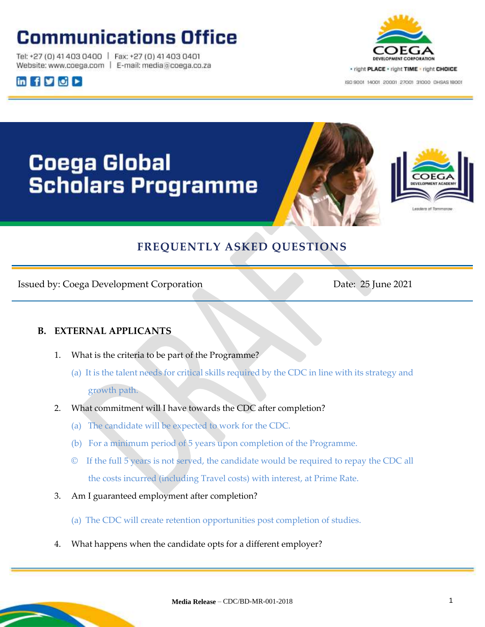## **Communications Office**

Tel: +27 (0) 41 403 0400 | Fax: +27 (0) 41 403 0401 Website: www.coega.com | E-mail: media@coega.co.za





ISO 9001 14001 20001 27001 31000 DHSAS 18001

# Coega Global **Scholars Programme**





### **FREQUENTLY ASKED QUESTIONS**

Issued by: Coega Development Corporation Date: 25 June 2021

### **B. EXTERNAL APPLICANTS**

- 1. What is the criteria to be part of the Programme?
	- (a) It is the talent needs for critical skills required by the CDC in line with its strategy and growth path.
- 2. What commitment will I have towards the CDC after completion?
	- (a) The candidate will be expected to work for the CDC.
	- (b) For a minimum period of 5 years upon completion of the Programme.
	- © If the full 5 years is not served, the candidate would be required to repay the CDC all the costs incurred (including Travel costs) with interest, at Prime Rate.
- 3. Am I guaranteed employment after completion?
	- (a) The CDC will create retention opportunities post completion of studies.
- 4. What happens when the candidate opts for a different employer?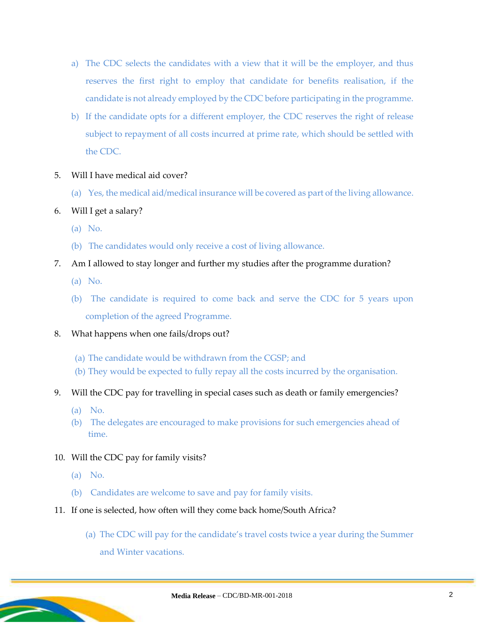- a) The CDC selects the candidates with a view that it will be the employer, and thus reserves the first right to employ that candidate for benefits realisation, if the candidate is not already employed by the CDC before participating in the programme.
- b) If the candidate opts for a different employer, the CDC reserves the right of release subject to repayment of all costs incurred at prime rate, which should be settled with the CDC.
- 5. Will I have medical aid cover?
	- (a) Yes, the medical aid/medical insurance will be covered as part of the living allowance.
- 6. Will I get a salary?
	- (a) No.
	- (b) The candidates would only receive a cost of living allowance.
- 7. Am I allowed to stay longer and further my studies after the programme duration?
	- (a) No.
	- (b) The candidate is required to come back and serve the CDC for 5 years upon completion of the agreed Programme.
- 8. What happens when one fails/drops out?
	- (a) The candidate would be withdrawn from the CGSP; and
	- (b) They would be expected to fully repay all the costs incurred by the organisation.
- 9. Will the CDC pay for travelling in special cases such as death or family emergencies?
	- (a) No.
	- (b) The delegates are encouraged to make provisions for such emergencies ahead of time.
- 10. Will the CDC pay for family visits?
	- (a) No.
	- (b) Candidates are welcome to save and pay for family visits.
- 11. If one is selected, how often will they come back home/South Africa?
	- (a) The CDC will pay for the candidate's travel costs twice a year during the Summer and Winter vacations.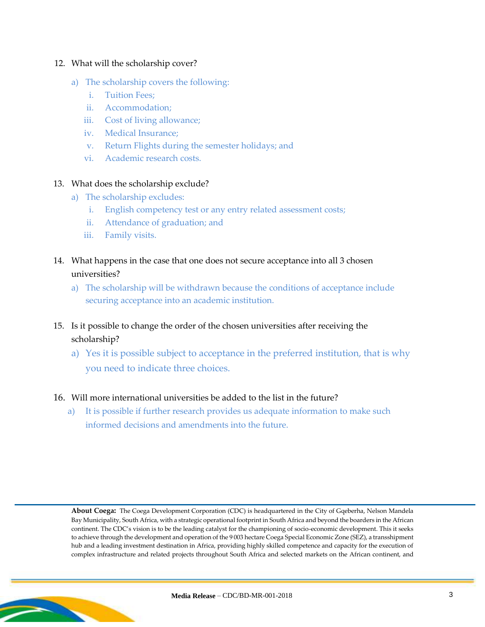#### 12. What will the scholarship cover?

- a) The scholarship covers the following:
	- i. Tuition Fees;
	- ii. Accommodation;
	- iii. Cost of living allowance;
	- iv. Medical Insurance;
	- v. Return Flights during the semester holidays; and
	- vi. Academic research costs.

#### 13. What does the scholarship exclude?

- a) The scholarship excludes:
	- i. English competency test or any entry related assessment costs;
	- ii. Attendance of graduation; and
	- iii. Family visits.
- 14. What happens in the case that one does not secure acceptance into all 3 chosen universities?
	- a) The scholarship will be withdrawn because the conditions of acceptance include securing acceptance into an academic institution.
- 15. Is it possible to change the order of the chosen universities after receiving the scholarship?
	- a) Yes it is possible subject to acceptance in the preferred institution, that is why you need to indicate three choices.

#### 16. Will more international universities be added to the list in the future?

a) It is possible if further research provides us adequate information to make such informed decisions and amendments into the future.

**About Coega:** The Coega Development Corporation (CDC) is headquartered in the City of Gqeberha, Nelson Mandela Bay Municipality, South Africa, with a strategic operational footprint in South Africa and beyond the boarders in the African continent. The CDC's vision is to be the leading catalyst for the championing of socio-economic development. This it seeks to achieve through the development and operation of the 9 003 hectare Coega Special Economic Zone (SEZ), a transshipment hub and a leading investment destination in Africa, providing highly skilled competence and capacity for the execution of complex infrastructure and related projects throughout South Africa and selected markets on the African continent, and